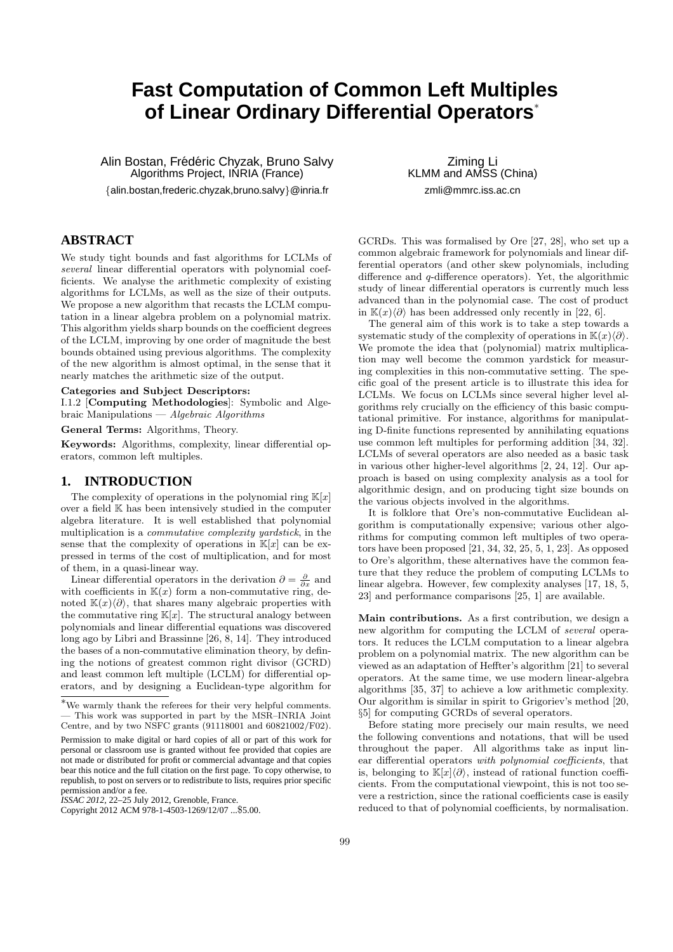# **Fast Computation of Common Left Multiples of Linear Ordinary Differential Operators**<sup>∗</sup>

Alin Bostan, Frédéric Chyzak, Bruno Salvy Algorithms Project, INRIA (France)

{alin.bostan,frederic.chyzak,bruno.salvy}@inria.fr

# **ABSTRACT**

We study tight bounds and fast algorithms for LCLMs of several linear differential operators with polynomial coefficients. We analyse the arithmetic complexity of existing algorithms for LCLMs, as well as the size of their outputs. We propose a new algorithm that recasts the LCLM computation in a linear algebra problem on a polynomial matrix. This algorithm yields sharp bounds on the coefficient degrees of the LCLM, improving by one order of magnitude the best bounds obtained using previous algorithms. The complexity of the new algorithm is almost optimal, in the sense that it nearly matches the arithmetic size of the output.

#### Categories and Subject Descriptors:

I.1.2 [Computing Methodologies]: Symbolic and Algebraic Manipulations — Algebraic Algorithms

General Terms: Algorithms, Theory.

Keywords: Algorithms, complexity, linear differential operators, common left multiples.

## **1. INTRODUCTION**

The complexity of operations in the polynomial ring  $\mathbb{K}[x]$ over a field K has been intensively studied in the computer algebra literature. It is well established that polynomial multiplication is a commutative complexity yardstick, in the sense that the complexity of operations in  $\mathbb{K}[x]$  can be expressed in terms of the cost of multiplication, and for most of them, in a quasi-linear way.

Linear differential operators in the derivation  $\partial = \frac{\partial}{\partial x}$  and with coefficients in  $K(x)$  form a non-commutative ring, denoted  $\mathbb{K}(x)\langle\partial\rangle$ , that shares many algebraic properties with the commutative ring  $\mathbb{K}[x]$ . The structural analogy between polynomials and linear differential equations was discovered long ago by Libri and Brassinne [\[26,](#page-7-0) [8,](#page-7-1) [14\]](#page-7-2). They introduced the bases of a non-commutative elimination theory, by defining the notions of greatest common right divisor (GCRD) and least common left multiple (LCLM) for differential operators, and by designing a Euclidean-type algorithm for

*ISSAC 2012,* 22–25 July 2012, Grenoble, France.

Ziming Li KLMM and AMSS (China) zmli@mmrc.iss.ac.cn

GCRDs. This was formalised by Ore [\[27,](#page-7-3) [28\]](#page-7-4), who set up a common algebraic framework for polynomials and linear differential operators (and other skew polynomials, including difference and *q*-difference operators). Yet, the algorithmic study of linear differential operators is currently much less advanced than in the polynomial case. The cost of product in K(x) $\langle \partial \rangle$  has been addressed only recently in [\[22,](#page-7-5) [6\]](#page-7-6).

The general aim of this work is to take a step towards a systematic study of the complexity of operations in  $\mathbb{K}(x)\langle\partial\rangle$ . We promote the idea that (polynomial) matrix multiplication may well become the common yardstick for measuring complexities in this non-commutative setting. The specific goal of the present article is to illustrate this idea for LCLMs. We focus on LCLMs since several higher level algorithms rely crucially on the efficiency of this basic computational primitive. For instance, algorithms for manipulating D-finite functions represented by annihilating equations use common left multiples for performing addition [\[34,](#page-7-7) [32\]](#page-7-8). LCLMs of several operators are also needed as a basic task in various other higher-level algorithms [\[2,](#page-7-9) [24,](#page-7-10) [12\]](#page-7-11). Our approach is based on using complexity analysis as a tool for algorithmic design, and on producing tight size bounds on the various objects involved in the algorithms.

It is folklore that Ore's non-commutative Euclidean algorithm is computationally expensive; various other algorithms for computing common left multiples of two operators have been proposed  $[21, 34, 32, 25, 5, 1, 23]$  $[21, 34, 32, 25, 5, 1, 23]$  $[21, 34, 32, 25, 5, 1, 23]$  $[21, 34, 32, 25, 5, 1, 23]$  $[21, 34, 32, 25, 5, 1, 23]$  $[21, 34, 32, 25, 5, 1, 23]$  $[21, 34, 32, 25, 5, 1, 23]$ . As opposed to Ore's algorithm, these alternatives have the common feature that they reduce the problem of computing LCLMs to linear algebra. However, few complexity analyses [\[17,](#page-7-17) [18,](#page-7-18) [5,](#page-7-14) [23\]](#page-7-16) and performance comparisons [\[25,](#page-7-13) [1\]](#page-7-15) are available.

Main contributions. As a first contribution, we design a new algorithm for computing the LCLM of several operators. It reduces the LCLM computation to a linear algebra problem on a polynomial matrix. The new algorithm can be viewed as an adaptation of Heffter's algorithm [\[21\]](#page-7-12) to several operators. At the same time, we use modern linear-algebra algorithms [\[35,](#page-7-19) [37\]](#page-7-20) to achieve a low arithmetic complexity. Our algorithm is similar in spirit to Grigoriev's method [\[20,](#page-7-21) §5] for computing GCRDs of several operators.

Before stating more precisely our main results, we need the following conventions and notations, that will be used throughout the paper. All algorithms take as input linear differential operators with polynomial coefficients, that is, belonging to  $\mathbb{K}[x]\langle\partial\rangle$ , instead of rational function coefficients. From the computational viewpoint, this is not too severe a restriction, since the rational coefficients case is easily reduced to that of polynomial coefficients, by normalisation.

<sup>∗</sup>We warmly thank the referees for their very helpful comments. — This work was supported in part by the MSR–INRIA Joint Centre, and by two NSFC grants (91118001 and 60821002/F02).

Permission to make digital or hard copies of all or part of this work for personal or classroom use is granted without fee provided that copies are not made or distributed for profit or commercial advantage and that copies bear this notice and the full citation on the first page. To copy otherwise, to republish, to post on servers or to redistribute to lists, requires prior specific permission and/or a fee.

Copyright 2012 ACM 978-1-4503-1269/12/07 ...\$5.00.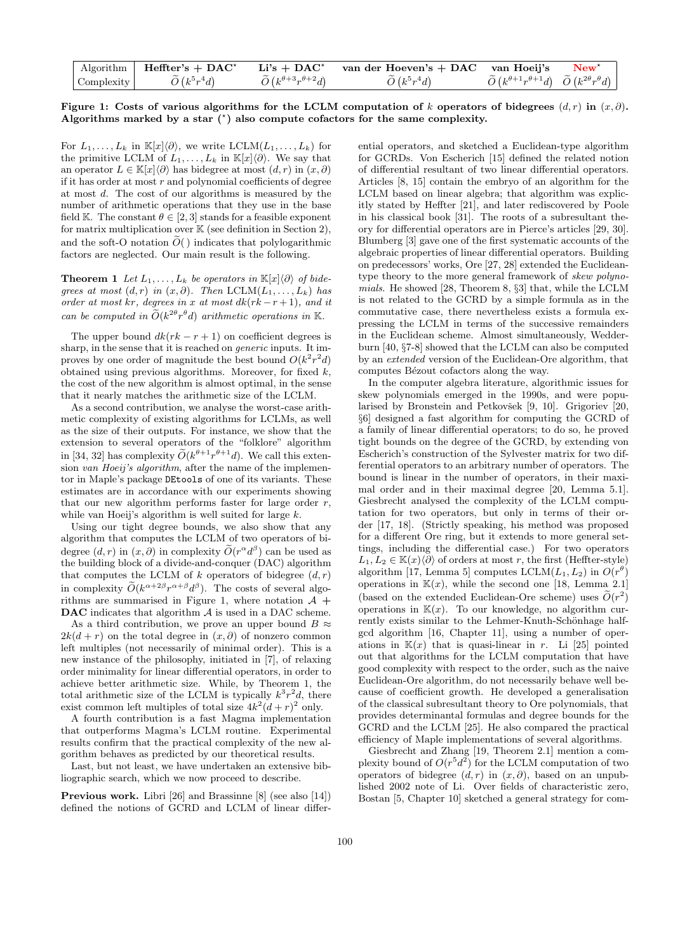|            | $\vert$ Algorithm $\vert$ Heffter's + DAC <sup>*</sup> |                                            | $Li's + DAC^*$ van der Hoeven's + DAC van Hoeij's New <sup>*</sup> |                                                                                  |  |
|------------|--------------------------------------------------------|--------------------------------------------|--------------------------------------------------------------------|----------------------------------------------------------------------------------|--|
| Complexity | $\widetilde{O}(k^5r^4d)$                               | $\widetilde{O}(k^{\theta+3}r^{\theta+2}d)$ | $\widetilde{O}(k^5r^4d)$                                           | $\widetilde{O}(k^{\theta+1}r^{\theta+1}d) \widetilde{O}(k^{2\theta}r^{\theta}d)$ |  |

#### <span id="page-1-0"></span>Figure 1: Costs of various algorithms for the LCLM computation of k operators of bidegrees  $(d, r)$  in  $(x, \partial)$ . Algorithms marked by a star  $(*)$  also compute cofactors for the same complexity.

For  $L_1, \ldots, L_k$  in  $\mathbb{K}[x]\langle\partial\rangle$ , we write LCLM $(L_1, \ldots, L_k)$  for the primitive LCLM of  $L_1, \ldots, L_k$  in  $\mathbb{K}[x]\langle\partial\rangle$ . We say that an operator  $L \in \mathbb{K}[x]\langle\partial\rangle$  has bidegree at most  $(d, r)$  in  $(x, \partial)$ if it has order at most  $r$  and polynomial coefficients of degree at most d. The cost of our algorithms is measured by the number of arithmetic operations that they use in the base field K. The constant  $\theta \in [2, 3]$  stands for a feasible exponent for matrix multiplication over  $K$  (see definition in Section [2\)](#page-2-0), and the soft-O notation  $\widetilde{O}(t)$  indicates that polylogarithmic factors are neglected. Our main result is the following.

Theorem 1 Let  $L_1, \ldots, L_k$  be operators in K[x] $\langle \partial \rangle$  of bidegrees at most  $(d, r)$  in  $(x, \partial)$ . Then LCLM $(L_1, \ldots, L_k)$  has order at most kr, degrees in x at most  $dk(rk - r + 1)$ , and it can be computed in  $\widetilde{O}(k^{2\theta}r^{\theta}d)$  arithmetic operations in K.

The upper bound  $dk(rk - r + 1)$  on coefficient degrees is sharp, in the sense that it is reached on generic inputs. It improves by one order of magnitude the best bound  $O(k^2r^2d)$ obtained using previous algorithms. Moreover, for fixed  $k$ , the cost of the new algorithm is almost optimal, in the sense that it nearly matches the arithmetic size of the LCLM.

As a second contribution, we analyse the worst-case arithmetic complexity of existing algorithms for LCLMs, as well as the size of their outputs. For instance, we show that the extension to several operators of the "folklore" algorithm in [\[34,](#page-7-7) [32\]](#page-7-8) has complexity  $\tilde{O}(k^{\theta+1}r^{\theta+1}d)$ . We call this extension van Hoeij's algorithm, after the name of the implementor in Maple's package DEtools of one of its variants. These estimates are in accordance with our experiments showing that our new algorithm performs faster for large order  $r$ , while van Hoeii's algorithm is well suited for large  $k$ .

Using our tight degree bounds, we also show that any algorithm that computes the LCLM of two operators of bidegree  $(d, r)$  in  $(x, \partial)$  in complexity  $\tilde{O}(r^{\alpha} d^{\beta})$  can be used as the building block of a divide-and-conquer (DAC) algorithm that computes the LCLM of  $k$  operators of bidegree  $(d, r)$ in complexity  $\widetilde{O}(k^{\alpha+2\beta}r^{\alpha+\beta}d^{\beta})$ . The costs of several algo-rithms are summarised in Figure [1,](#page-1-0) where notation  $A +$ DAC indicates that algorithm  $\mathcal A$  is used in a DAC scheme.

As a third contribution, we prove an upper bound  $B \approx$  $2k(d + r)$  on the total degree in  $(x, \partial)$  of nonzero common left multiples (not necessarily of minimal order). This is a new instance of the philosophy, initiated in [\[7\]](#page-7-22), of relaxing order minimality for linear differential operators, in order to achieve better arithmetic size. While, by Theorem [1,](#page-1-1) the total arithmetic size of the LCLM is typically  $k^3r^2d$ , there exist common left multiples of total size  $4k^2(d+r)^2$  only.

A fourth contribution is a fast Magma implementation that outperforms Magma's LCLM routine. Experimental results confirm that the practical complexity of the new algorithm behaves as predicted by our theoretical results.

Last, but not least, we have undertaken an extensive bibliographic search, which we now proceed to describe.

Previous work. Libri [\[26\]](#page-7-0) and Brassinne [\[8\]](#page-7-1) (see also [\[14\]](#page-7-2)) defined the notions of GCRD and LCLM of linear differ-

<span id="page-1-1"></span>ential operators, and sketched a Euclidean-type algorithm for GCRDs. Von Escherich [\[15\]](#page-7-23) defined the related notion of differential resultant of two linear differential operators. Articles [\[8,](#page-7-1) [15\]](#page-7-23) contain the embryo of an algorithm for the LCLM based on linear algebra; that algorithm was explicitly stated by Heffter [\[21\]](#page-7-12), and later rediscovered by Poole in his classical book [\[31\]](#page-7-24). The roots of a subresultant theory for differential operators are in Pierce's articles [\[29,](#page-7-25) [30\]](#page-7-26). Blumberg [\[3\]](#page-7-27) gave one of the first systematic accounts of the algebraic properties of linear differential operators. Building on predecessors' works, Ore [\[27,](#page-7-3) [28\]](#page-7-4) extended the Euclideantype theory to the more general framework of skew polynomials. He showed [\[28,](#page-7-4) Theorem 8, §3] that, while the LCLM is not related to the GCRD by a simple formula as in the commutative case, there nevertheless exists a formula expressing the LCLM in terms of the successive remainders in the Euclidean scheme. Almost simultaneously, Wedderburn [\[40,](#page-7-28) §7-8] showed that the LCLM can also be computed by an extended version of the Euclidean-Ore algorithm, that computes Bézout cofactors along the way.

In the computer algebra literature, algorithmic issues for skew polynomials emerged in the 1990s, and were popu-larised by Bronstein and Petkovšek [\[9,](#page-7-29) [10\]](#page-7-30). Grigoriev [\[20,](#page-7-21) §6] designed a fast algorithm for computing the GCRD of a family of linear differential operators; to do so, he proved tight bounds on the degree of the GCRD, by extending von Escherich's construction of the Sylvester matrix for two differential operators to an arbitrary number of operators. The bound is linear in the number of operators, in their maximal order and in their maximal degree [\[20,](#page-7-21) Lemma 5.1]. Giesbrecht analysed the complexity of the LCLM computation for two operators, but only in terms of their order [\[17,](#page-7-17) [18\]](#page-7-18). (Strictly speaking, his method was proposed for a different Ore ring, but it extends to more general settings, including the differential case.) For two operators  $L_1, L_2 \in \mathbb{K}(x)\langle\partial\rangle$  of orders at most r, the first (Heffter-style) algorithm [\[17,](#page-7-17) Lemma 5] computes  $\text{LCLM}(L_1, L_2)$  in  $O(r^{\theta})$ operations in  $\mathbb{K}(x)$ , while the second one [\[18,](#page-7-18) Lemma 2.1] (based on the extended Euclidean-Ore scheme) uses  $\tilde{O}(r^2)$ operations in  $K(x)$ . To our knowledge, no algorithm currently exists similar to the Lehmer-Knuth-Schönhage halfgcd algorithm [\[16,](#page-7-31) Chapter 11], using a number of operations in  $K(x)$  that is quasi-linear in r. Li [\[25\]](#page-7-13) pointed out that algorithms for the LCLM computation that have good complexity with respect to the order, such as the naive Euclidean-Ore algorithm, do not necessarily behave well because of coefficient growth. He developed a generalisation of the classical subresultant theory to Ore polynomials, that provides determinantal formulas and degree bounds for the GCRD and the LCLM [\[25\]](#page-7-13). He also compared the practical efficiency of Maple implementations of several algorithms.

Giesbrecht and Zhang [\[19,](#page-7-32) Theorem 2.1] mention a complexity bound of  $O(r^5d^2)$  for the LCLM computation of two operators of bidegree  $(d, r)$  in  $(x, \partial)$ , based on an unpublished 2002 note of Li. Over fields of characteristic zero, Bostan [\[5,](#page-7-14) Chapter 10] sketched a general strategy for com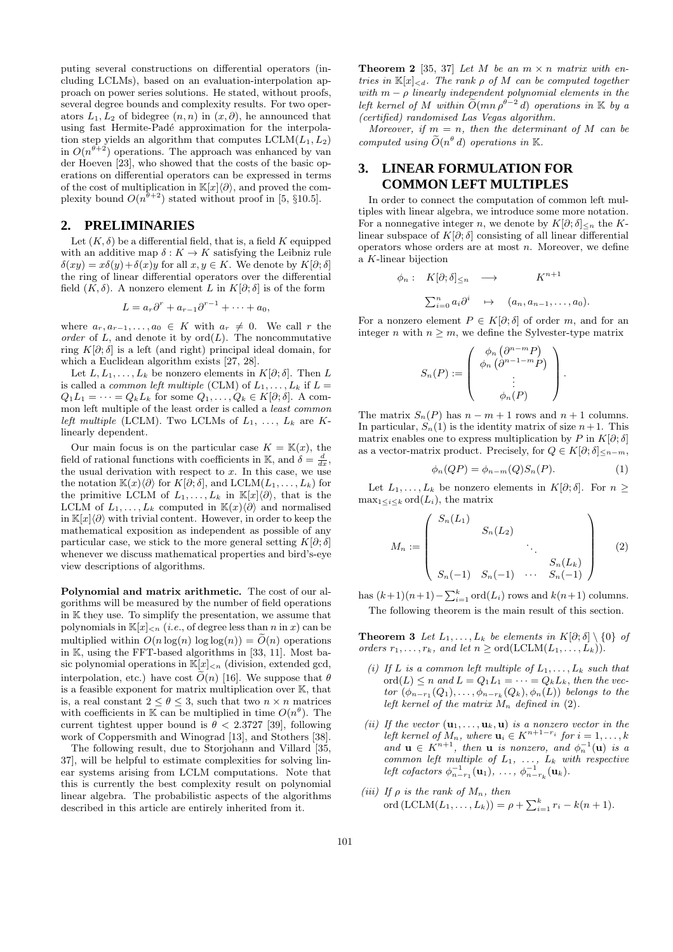puting several constructions on differential operators (including LCLMs), based on an evaluation-interpolation approach on power series solutions. He stated, without proofs, several degree bounds and complexity results. For two operators  $L_1, L_2$  of bidegree  $(n, n)$  in  $(x, \partial)$ , he announced that using fast Hermite-Padé approximation for the interpolation step yields an algorithm that computes  $LCLM(L_1, L_2)$ in  $O(n^{\theta+2})$  operations. The approach was enhanced by van der Hoeven [\[23\]](#page-7-16), who showed that the costs of the basic operations on differential operators can be expressed in terms of the cost of multiplication in  $\mathbb{K}[x]\langle\partial\rangle$ , and proved the complexity bound  $O(n^{\theta+2})$  stated without proof in [\[5,](#page-7-14) §10.5].

# <span id="page-2-0"></span>**2. PRELIMINARIES**

Let  $(K, \delta)$  be a differential field, that is, a field K equipped with an additive map  $\delta: K \to K$  satisfying the Leibniz rule  $\delta(xy) = x\delta(y) + \delta(x)y$  for all  $x, y \in K$ . We denote by  $K[\partial;\delta]$ the ring of linear differential operators over the differential field  $(K, \delta)$ . A nonzero element L in  $K[\partial; \delta]$  is of the form

$$
L = a_r \partial^r + a_{r-1} \partial^{r-1} + \cdots + a_0,
$$

where  $a_r, a_{r-1}, \ldots, a_0 \in K$  with  $a_r \neq 0$ . We call r the order of L, and denote it by  $ord(L)$ . The noncommutative ring  $K[\partial; \delta]$  is a left (and right) principal ideal domain, for which a Euclidean algorithm exists [\[27,](#page-7-3) [28\]](#page-7-4).

Let  $L, L_1, \ldots, L_k$  be nonzero elements in  $K[\partial; \delta]$ . Then L is called a *common left multiple* (CLM) of  $L_1, \ldots, L_k$  if  $L =$  $Q_1L_1 = \cdots = Q_kL_k$  for some  $Q_1, \ldots, Q_k \in K[\partial; \delta]$ . A common left multiple of the least order is called a least common left multiple (LCLM). Two LCLMs of  $L_1, \ldots, L_k$  are Klinearly dependent.

Our main focus is on the particular case  $K = \mathbb{K}(x)$ , the field of rational functions with coefficients in K, and  $\delta = \frac{d}{dx}$ , the usual derivation with respect to  $x$ . In this case, we use the notation  $\mathbb{K}(x)\langle\partial\rangle$  for  $K[\partial;\delta]$ , and  $\text{LCLM}(L_1,\ldots,L_k)$  for the primitive LCLM of  $L_1, \ldots, L_k$  in  $\mathbb{K}[x]\langle\partial\rangle$ , that is the LCLM of  $L_1, \ldots, L_k$  computed in  $\mathbb{K}(x)\langle\partial\rangle$  and normalised in K[x] $\langle \partial \rangle$  with trivial content. However, in order to keep the mathematical exposition as independent as possible of any particular case, we stick to the more general setting  $K[\partial; \delta]$ whenever we discuss mathematical properties and bird's-eye view descriptions of algorithms.

Polynomial and matrix arithmetic*.* The cost of our algorithms will be measured by the number of field operations in K they use. To simplify the presentation, we assume that polynomials in  $\mathbb{K}[x]_{\leq n}$  (*i.e.*, of degree less than *n* in *x*) can be multiplied within  $O(n \log(n) \log \log(n)) = \tilde{O}(n)$  operations in K, using the FFT-based algorithms in [\[33,](#page-7-33) [11\]](#page-7-34). Most basic polynomial operations in  $\mathbb{K}[x]_{\leq n}$  (division, extended gcd, interpolation, etc.) have cost  $\widetilde{O}(n)$  [\[16\]](#page-7-31). We suppose that  $\theta$ is a feasible exponent for matrix multiplication over K, that is, a real constant  $2 \leq \theta \leq 3$ , such that two  $n \times n$  matrices with coefficients in K can be multiplied in time  $O(n^{\theta})$ . The current tightest upper bound is  $\theta$  < 2.3727 [\[39\]](#page-7-35), following work of Coppersmith and Winograd [\[13\]](#page-7-36), and Stothers [\[38\]](#page-7-37).

<span id="page-2-5"></span>The following result, due to Storjohann and Villard [\[35,](#page-7-19) [37\]](#page-7-20), will be helpful to estimate complexities for solving linear systems arising from LCLM computations. Note that this is currently the best complexity result on polynomial linear algebra. The probabilistic aspects of the algorithms described in this article are entirely inherited from it.

**Theorem 2** [\[35,](#page-7-19) [37\]](#page-7-20) Let M be an  $m \times n$  matrix with entries in  $\mathbb{K}[x]_{< d}$ . The rank  $\rho$  of M can be computed together with  $m - \rho$  linearly independent polynomial elements in the left kernel of M within  $\widetilde{O}(mn \rho^{\theta-2} d)$  operations in K by a (certified) randomised Las Vegas algorithm.

Moreover, if  $m = n$ , then the determinant of M can be computed using  $\widetilde{O}(n^{\theta} d)$  operations in K.

# <span id="page-2-4"></span>**3. LINEAR FORMULATION FOR COMMON LEFT MULTIPLES**

In order to connect the computation of common left multiples with linear algebra, we introduce some more notation. For a nonnegative integer n, we denote by  $K[\partial; \delta]_{\leq n}$  the Klinear subspace of  $K[\partial; \delta]$  consisting of all linear differential operators whose orders are at most  $n$ . Moreover, we define a K-linear bijection

$$
\phi_n: K[\partial; \delta]_{\leq n} \longrightarrow K^{n+1}
$$
  

$$
\sum_{i=0}^n a_i \partial^i \mapsto (a_n, a_{n-1}, \dots, a_0).
$$

For a nonzero element  $P \in K[\partial; \delta]$  of order m, and for an integer *n* with  $n > m$ , we define the Sylvester-type matrix

$$
S_n(P) := \left( \begin{array}{c} \phi_n\left(\partial^{n-m}P\right) \\ \phi_n\left(\partial^{n-1-m}P\right) \\ \vdots \\ \phi_n(P) \end{array} \right).
$$

The matrix  $S_n(P)$  has  $n - m + 1$  rows and  $n + 1$  columns. In particular,  $S_n(1)$  is the identity matrix of size  $n+1$ . This matrix enables one to express multiplication by P in  $K[\partial; \delta]$ as a vector-matrix product. Precisely, for  $Q \in K[\partial; \delta]_{\leq n-m}$ ,

<span id="page-2-3"></span><span id="page-2-2"></span>
$$
\phi_n(QP) = \phi_{n-m}(Q)S_n(P). \tag{1}
$$

Let  $L_1, \ldots, L_k$  be nonzero elements in  $K[\partial; \delta]$ . For  $n \geq$  $\max_{1 \leq i \leq k} \operatorname{ord}(L_i)$ , the matrix

<span id="page-2-1"></span>
$$
M_n := \begin{pmatrix} S_n(L_1) & & & \\ & S_n(L_2) & & \\ & & \ddots & \\ & & & S_n(L_k) \\ S_n(-1) & S_n(-1) & \cdots & S_n(-1) \end{pmatrix}
$$
 (2)

has  $(k+1)(n+1) - \sum_{i=1}^{k} \text{ord}(L_i)$  rows and  $k(n+1)$  columns. The following theorem is the main result of this section.

**Theorem 3** Let  $L_1, \ldots, L_k$  be elements in  $K[\partial; \delta] \setminus \{0\}$  of orders  $r_1, \ldots, r_k$ , and let  $n \geq \text{ord}(\text{LCLM}(L_1, \ldots, L_k)).$ 

- (i) If L is a common left multiple of  $L_1, \ldots, L_k$  such that  $\mathrm{ord}(L) \leq n$  and  $L = Q_1L_1 = \cdots = Q_kL_k$ , then the vector  $(\phi_{n-r_1}(Q_1), \ldots, \phi_{n-r_k}(Q_k), \phi_n(L))$  belongs to the left kernel of the matrix  $M_n$  defined in [\(2\)](#page-2-1).
- (ii) If the vector  $(\mathbf{u}_1, \ldots, \mathbf{u}_k, \mathbf{u})$  is a nonzero vector in the left kernel of  $M_n$ , where  $\mathbf{u}_i \in K^{n+1-r_i}$  for  $i = 1, \ldots, k$ and  $\mathbf{u} \in K^{n+1}$ , then  $\mathbf{u}$  is nonzero, and  $\phi_n^{-1}(\mathbf{u})$  is a common left multiple of  $L_1$ , ...,  $L_k$  with respective left cofactors  $\phi_{n-r_1}^{-1}(\mathbf{u}_1), \ldots, \phi_{n-r_k}^{-1}(\mathbf{u}_k)$ .
- (iii) If  $\rho$  is the rank of  $M_n$ , then ord  $(LCLM(L_1, ..., L_k)) = \rho + \sum_{i=1}^k r_i - k(n+1)$ .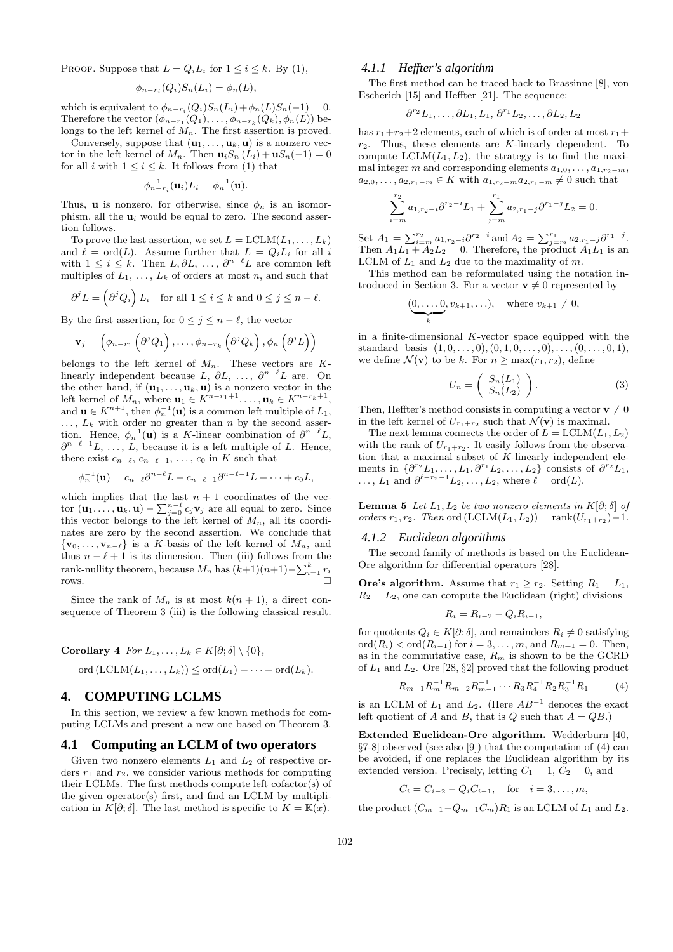PROOF. Suppose that  $L = Q_i L_i$  for  $1 \leq i \leq k$ . By [\(1\)](#page-2-2),

$$
\phi_{n-r_i}(Q_i)S_n(L_i)=\phi_n(L),
$$

which is equivalent to  $\phi_{n-r_i}(Q_i)S_n(L_i)+\phi_n(L)S_n(-1)=0.$ Therefore the vector  $(\phi_{n-r_1}(Q_1), \ldots, \phi_{n-r_k}(Q_k), \phi_n(L))$  belongs to the left kernel of  $M_n$ . The first assertion is proved.

Conversely, suppose that  $(\mathbf{u}_1, \dots, \mathbf{u}_k, \mathbf{u})$  is a nonzero vector in the left kernel of  $M_n$ . Then  $\mathbf{u}_i S_n(L_i) + \mathbf{u} S_n(-1) = 0$ for all i with  $1 \leq i \leq k$ . It follows from [\(1\)](#page-2-2) that

$$
\phi_{n-r_i}^{-1}(\mathbf{u}_i)L_i = \phi_n^{-1}(\mathbf{u}).
$$

Thus, **u** is nonzero, for otherwise, since  $\phi_n$  is an isomorphism, all the  $\mathbf{u}_i$  would be equal to zero. The second assertion follows.

To prove the last assertion, we set  $L = LCLM(L_1, \ldots, L_k)$ and  $\ell = \text{ord}(L)$ . Assume further that  $L = Q_i L_i$  for all i with  $1 \leq i \leq k$ . Then  $L, \partial L, \ldots, \partial^{n-\ell}L$  are common left multiples of  $L_1, \ldots, L_k$  of orders at most n, and such that

$$
\partial^j L = \left( \partial^j Q_i \right) L_i \quad \text{for all } 1 \leq i \leq k \text{ and } 0 \leq j \leq n - \ell.
$$

By the first assertion, for  $0 \leq j \leq n - \ell$ , the vector

$$
\mathbf{v}_{j} = \left(\phi_{n-r_1}\left(\partial^{j} Q_1\right), \ldots, \phi_{n-r_k}\left(\partial^{j} Q_k\right), \phi_n\left(\partial^{j} L\right)\right)
$$

belongs to the left kernel of  $M_n$ . These vectors are Klinearly independent because  $L, \partial L, \ldots, \partial^{n-\ell}L$  are. On the other hand, if  $(\mathbf{u}_1, \ldots, \mathbf{u}_k, \mathbf{u})$  is a nonzero vector in the left kernel of  $M_n$ , where  $\mathbf{u}_1 \in K^{n-r_1+1}, \ldots, \mathbf{u}_k \in K^{n-r_k+1}$ , and  $\mathbf{u} \in K^{n+1}$ , then  $\phi_n^{-1}(\mathbf{u})$  is a common left multiple of  $L_1$ ,  $\ldots, L_k$  with order no greater than n by the second assertion. Hence,  $\phi_n^{-1}(\mathbf{u})$  is a K-linear combination of  $\partial^{n-\ell}L$ ,  $\partial^{n-\ell-1}L, \ldots, L$ , because it is a left multiple of L. Hence, there exist  $c_{n-\ell}, c_{n-\ell-1}, \ldots, c_0$  in K such that

$$
\phi_n^{-1}(\mathbf{u})=c_{n-\ell}\partial^{n-\ell}L+c_{n-\ell-1}\partial^{n-\ell-1}L+\cdots+c_0L,
$$

which implies that the last  $n + 1$  coordinates of the vector  $(\mathbf{u}_1, \ldots, \mathbf{u}_k, \mathbf{u}) - \sum_{j=0}^{n-\ell} c_j \mathbf{v}_j$  are all equal to zero. Since this vector belongs to the left kernel of  $M_n$ , all its coordinates are zero by the second assertion. We conclude that  $\{v_0, \ldots, v_{n-\ell}\}\$ is a K-basis of the left kernel of  $M_n$ , and thus  $n - \ell + 1$  is its dimension. Then (iii) follows from the rank-nullity theorem, because  $M_n$  has  $(k+1)(n+1) - \sum_{i=1}^{k} r_i$ rows.

<span id="page-3-1"></span>Since the rank of  $M_n$  is at most  $k(n + 1)$ , a direct consequence of Theorem [3](#page-2-3) (iii) is the following classical result.

Corollary 4  $For L_1, \ldots, L_k \in K[\partial; \delta] \setminus \{0\},$ 

ord  $(\text{LCLM}(L_1, \ldots, L_k)) \leq \text{ord}(L_1) + \cdots + \text{ord}(L_k).$ 

## **4. COMPUTING LCLMS**

In this section, we review a few known methods for computing LCLMs and present a new one based on Theorem [3.](#page-2-3)

#### **4.1 Computing an LCLM of two operators**

Given two nonzero elements  $L_1$  and  $L_2$  of respective orders  $r_1$  and  $r_2$ , we consider various methods for computing their LCLMs. The first methods compute left cofactor(s) of the given operator(s) first, and find an LCLM by multiplication in  $K[\partial; \delta]$ . The last method is specific to  $K = \mathbb{K}(x)$ .

#### *4.1.1 Heffter's algorithm*

The first method can be traced back to Brassinne [\[8\]](#page-7-1), von Escherich [\[15\]](#page-7-23) and Heffter [\[21\]](#page-7-12). The sequence:

$$
\partial^{r_2} L_1, \ldots, \partial L_1, L_1, \, \partial^{r_1} L_2, \ldots, \partial L_2, L_2
$$

has  $r_1+r_2+2$  elements, each of which is of order at most  $r_1+$  $r_2$ . Thus, these elements are K-linearly dependent. To compute  $LCLM(L_1, L_2)$ , the strategy is to find the maximal integer m and corresponding elements  $a_{1,0}, \ldots, a_{1,r_2-m}$ ,  $a_{2,0}, \ldots, a_{2,r_1-m} \in K$  with  $a_{1,r_2-m}a_{2,r_1-m} \neq 0$  such that

$$
\sum_{i=m}^{r_2} a_{1,r_2-i} \partial^{r_2-i} L_1 + \sum_{j=m}^{r_1} a_{2,r_1-j} \partial^{r_1-j} L_2 = 0.
$$

Set  $A_1 = \sum_{i=m}^{r_2} a_{1,r_2-i} \partial^{r_2-i}$  and  $A_2 = \sum_{j=m}^{r_1} a_{2,r_1-j} \partial^{r_1-j}$ . Then  $A_1L_1 + A_2L_2 = 0$ . Therefore, the product  $A_1L_1$  is an LCLM of  $L_1$  and  $L_2$  due to the maximality of m.

This method can be reformulated using the notation in-troduced in Section [3.](#page-2-4) For a vector  $\mathbf{v} \neq 0$  represented by

$$
(\underbrace{0,\ldots,0}_{k},v_{k+1},\ldots),\quad\text{where }v_{k+1}\neq 0,
$$

in a finite-dimensional  $K$ -vector space equipped with the standard basis  $(1, 0, \ldots, 0), (0, 1, 0, \ldots, 0), \ldots, (0, \ldots, 0, 1),$ we define  $\mathcal{N}(\mathbf{v})$  to be k. For  $n \geq \max(r_1, r_2)$ , define

<span id="page-3-2"></span>
$$
U_n = \left(\begin{array}{c} S_n(L_1) \\ S_n(L_2) \end{array}\right). \tag{3}
$$

Then, Heffter's method consists in computing a vector  $\mathbf{v} \neq 0$ in the left kernel of  $U_{r_1+r_2}$  such that  $\mathcal{N}(\mathbf{v})$  is maximal.

The next lemma connects the order of  $L = LCLM(L_1, L_2)$ with the rank of  $U_{r_1+r_2}$ . It easily follows from the observation that a maximal subset of  $K$ -linearly independent elements in  $\{\partial^{r_2}L_1,\ldots,L_1,\partial^{r_1}L_2,\ldots,L_2\}$  consists of  $\partial^{r_2}L_1$ ,  $\ldots$ ,  $L_1$  and  $\partial^{\ell-r_2-1}L_2,\ldots,L_2$ , where  $\ell = \text{ord}(L)$ .

**Lemma 5** Let  $L_1, L_2$  be two nonzero elements in  $K[\partial; \delta]$  of orders  $r_1, r_2$ . Then ord  $(LCLM(L_1, L_2)) = \text{rank}(U_{r_1+r_2})-1$ .

#### *4.1.2 Euclidean algorithms*

The second family of methods is based on the Euclidean-Ore algorithm for differential operators [\[28\]](#page-7-4).

**Ore's algorithm.** Assume that  $r_1 \geq r_2$ . Setting  $R_1 = L_1$ ,  $R_2 = L_2$ , one can compute the Euclidean (right) divisions

$$
R_i = R_{i-2} - Q_i R_{i-1},
$$

for quotients  $Q_i \in K[\partial; \delta]$ , and remainders  $R_i \neq 0$  satisfying ord( $R_i$ ) < ord( $R_{i-1}$ ) for  $i = 3, ..., m$ , and  $R_{m+1} = 0$ . Then, as in the commutative case,  $R_m$  is shown to be the GCRD of  $L_1$  and  $L_2$ . Ore [\[28,](#page-7-4) §2] proved that the following product

<span id="page-3-0"></span>
$$
R_{m-1}R_m^{-1}R_{m-2}R_{m-1}^{-1}\cdots R_3R_4^{-1}R_2R_3^{-1}R_1\qquad (4)
$$

is an LCLM of  $L_1$  and  $L_2$ . (Here  $AB^{-1}$  denotes the exact left quotient of A and B, that is Q such that  $A = QB$ .

Extended Euclidean-Ore algorithm. Wedderburn [\[40,](#page-7-28) §7-8] observed (see also [\[9\]](#page-7-29)) that the computation of [\(4\)](#page-3-0) can be avoided, if one replaces the Euclidean algorithm by its extended version. Precisely, letting  $C_1 = 1, C_2 = 0$ , and

$$
C_i = C_{i-2} - Q_i C_{i-1}
$$
, for  $i = 3, ..., m$ ,

the product  $(C_{m-1}-Q_{m-1}C_m)R_1$  is an LCLM of  $L_1$  and  $L_2$ .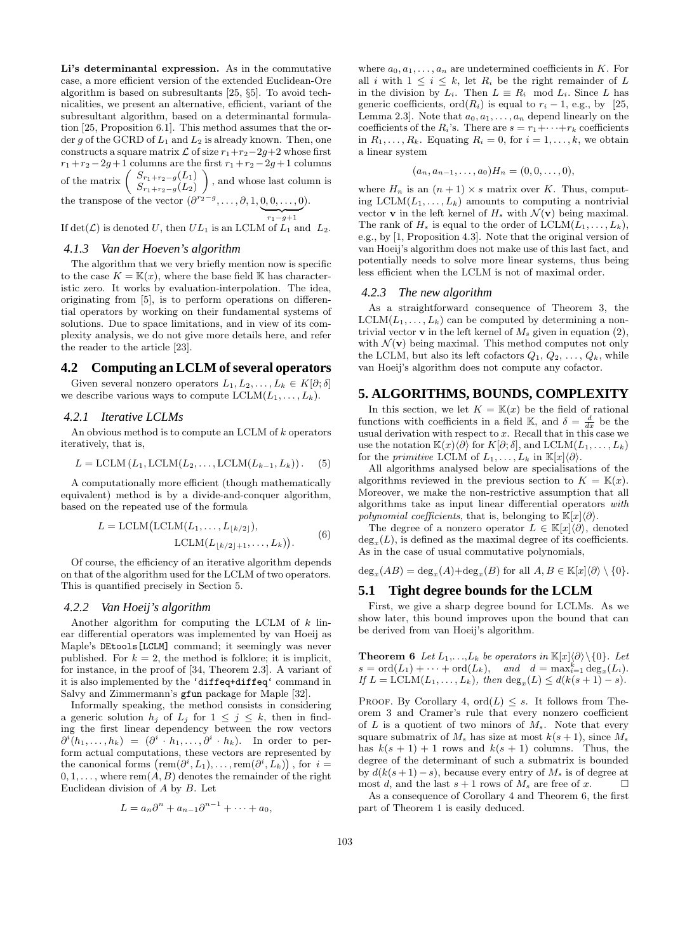Li's determinantal expression. As in the commutative case, a more efficient version of the extended Euclidean-Ore algorithm is based on subresultants [\[25,](#page-7-13) §5]. To avoid technicalities, we present an alternative, efficient, variant of the subresultant algorithm, based on a determinantal formulation [\[25,](#page-7-13) Proposition 6.1]. This method assumes that the order q of the GCRD of  $L_1$  and  $L_2$  is already known. Then, one constructs a square matrix  $\mathcal L$  of size  $r_1+r_2-2g+2$  whose first  $r_1 + r_2 - 2g + 1$  columns are the first  $r_1 + r_2 - 2g + 1$  columns of the matrix  $\begin{pmatrix} S_{r_1+r_2-g}(L_1) \\ S_{r_1+r_2-g}(L_1) \end{pmatrix}$  $S_{r_1+r_2-g}(L_2)$ ), and whose last column is the transpose of the vector  $(\partial^{r_2-g}, \ldots, \partial, 1, 0, 0, \ldots, 0).$ 

 $\overbrace{r_1 - a + 1}^{r_1}$  $r_1-g+1$ If  $\det(\mathcal{L})$  is denoted U, then  $UL_1$  is an LCLM of  $L_1$  and  $L_2$ .

#### *4.1.3 Van der Hoeven's algorithm*

The algorithm that we very briefly mention now is specific to the case  $K = \mathbb{K}(x)$ , where the base field K has characteristic zero. It works by evaluation-interpolation. The idea, originating from [\[5\]](#page-7-14), is to perform operations on differential operators by working on their fundamental systems of solutions. Due to space limitations, and in view of its complexity analysis, we do not give more details here, and refer the reader to the article [\[23\]](#page-7-16).

## **4.2 Computing an LCLM of several operators**

Given several nonzero operators  $L_1, L_2, \ldots, L_k \in K[\partial; \delta]$ we describe various ways to compute  $LCLM(L_1, \ldots, L_k)$ .

## *4.2.1 Iterative LCLMs*

An obvious method is to compute an LCLM of k operators iteratively, that is,

<span id="page-4-3"></span>
$$
L = \text{LCLM}(L_1, \text{LCLM}(L_2, \ldots, \text{LCLM}(L_{k-1}, L_k)).
$$
 (5)

A computationally more efficient (though mathematically equivalent) method is by a divide-and-conquer algorithm, based on the repeated use of the formula

$$
L = \text{LCLM}(\text{LCLM}(L_1, \dots, L_{\lfloor k/2 \rfloor}),
$$
  

$$
\text{LCLM}(L_{\lfloor k/2 \rfloor+1}, \dots, L_k)).
$$
 (6)

<span id="page-4-2"></span>Of course, the efficiency of an iterative algorithm depends on that of the algorithm used for the LCLM of two operators. This is quantified precisely in Section [5.](#page-4-0)

#### *4.2.2 Van Hoeij's algorithm*

Another algorithm for computing the LCLM of  $k$  linear differential operators was implemented by van Hoeij as Maple's DEtools[LCLM] command; it seemingly was never published. For  $k = 2$ , the method is folklore; it is implicit, for instance, in the proof of [\[34,](#page-7-7) Theorem 2.3]. A variant of it is also implemented by the 'diffeq+diffeq' command in Salvy and Zimmermann's gfun package for Maple [\[32\]](#page-7-8).

Informally speaking, the method consists in considering a generic solution  $h_j$  of  $L_j$  for  $1 \leq j \leq k$ , then in finding the first linear dependency between the row vectors  $\partial^i(h_1,\ldots,h_k) = (\partial^i \cdot h_1,\ldots,\partial^i \cdot h_k)$ . In order to perform actual computations, these vectors are represented by the canonical forms  $(\text{rem}(\partial^i, L_1), \ldots, \text{rem}(\partial^i, L_k))$ , for  $i =$  $0, 1, \ldots$ , where rem( $\overline{A}, \overline{B}$ ) denotes the remainder of the right Euclidean division of A by B. Let

$$
L = a_n \partial^n + a_{n-1} \partial^{n-1} + \cdots + a_0,
$$

where  $a_0, a_1, \ldots, a_n$  are undetermined coefficients in K. For all i with  $1 \leq i \leq k$ , let  $R_i$  be the right remainder of L in the division by  $L_i$ . Then  $L \equiv R_i \mod L_i$ . Since L has generic coefficients, ord $(R_i)$  is equal to  $r_i - 1$ , e.g., by [\[25,](#page-7-13) Lemma 2.3]. Note that  $a_0, a_1, \ldots, a_n$  depend linearly on the coefficients of the  $R_i$ 's. There are  $s = r_1 + \cdots + r_k$  coefficients in  $R_1, \ldots, R_k$ . Equating  $R_i = 0$ , for  $i = 1, \ldots, k$ , we obtain a linear system

$$
(a_n, a_{n-1}, \ldots, a_0)H_n = (0, 0, \ldots, 0),
$$

where  $H_n$  is an  $(n + 1) \times s$  matrix over K. Thus, computing LCLM $(L_1, \ldots, L_k)$  amounts to computing a nontrivial vector **v** in the left kernel of  $H_s$  with  $\mathcal{N}(\mathbf{v})$  being maximal. The rank of  $H_s$  is equal to the order of LCLM $(L_1, \ldots, L_k)$ , e.g., by [\[1,](#page-7-15) Proposition 4.3]. Note that the original version of van Hoeij's algorithm does not make use of this last fact, and potentially needs to solve more linear systems, thus being less efficient when the LCLM is not of maximal order.

#### *4.2.3 The new algorithm*

As a straightforward consequence of Theorem [3,](#page-2-3) the  $LCLM(L_1, \ldots, L_k)$  can be computed by determining a nontrivial vector **v** in the left kernel of  $M_s$  given in equation [\(2\)](#page-2-1), with  $\mathcal{N}(v)$  being maximal. This method computes not only the LCLM, but also its left cofactors  $Q_1, Q_2, \ldots, Q_k$ , while van Hoeij's algorithm does not compute any cofactor.

#### <span id="page-4-0"></span>**5. ALGORITHMS, BOUNDS, COMPLEXITY**

In this section, we let  $K = K(x)$  be the field of rational functions with coefficients in a field K, and  $\delta = \frac{d}{dx}$  be the usual derivation with respect to  $x$ . Recall that in this case we use the notation  $\mathbb{K}(x)\langle\partial\rangle$  for  $K[\partial;\delta]$ , and LCLM $(L_1, \ldots, L_k)$ for the *primitive* LCLM of  $L_1, \ldots, L_k$  in  $\mathbb{K}[x]\langle\partial\rangle$ .

All algorithms analysed below are specialisations of the algorithms reviewed in the previous section to  $K = \mathbb{K}(x)$ . Moreover, we make the non-restrictive assumption that all algorithms take as input linear differential operators with polynomial coefficients, that is, belonging to  $\mathbb{K}[x]\langle\partial\rangle$ .

The degree of a nonzero operator  $L \in \mathbb{K}[x]\langle\partial\rangle$ , denoted  $deg_x(L)$ , is defined as the maximal degree of its coefficients. As in the case of usual commutative polynomials,

 $deg_x(AB) = deg_x(A) + deg_x(B)$  for all  $A, B \in \mathbb{K}[x]\langle \partial \rangle \setminus \{0\}.$ 

#### **5.1 Tight degree bounds for the LCLM**

First, we give a sharp degree bound for LCLMs. As we show later, this bound improves upon the bound that can be derived from van Hoeij's algorithm.

<span id="page-4-1"></span>Theorem 6 Let  $L_1, \ldots, L_k$  be operators in  $\mathbb{K}[x]\langle\partial\rangle\setminus\{0\}$ . Let  $s = \text{ord}(L_1) + \cdots + \text{ord}(L_k), \quad and \quad d = \max_{i=1}^k \text{deg}_x(L_i).$ If  $L = \text{LCLM}(L_1, \ldots, L_k)$ , then  $\deg_x(L) \leq d(k(s+1) - s)$ .

PROOF. By Corollary [4,](#page-3-1)  $ord(L) \leq s$ . It follows from Theorem [3](#page-2-3) and Cramer's rule that every nonzero coefficient of L is a quotient of two minors of  $M_s$ . Note that every square submatrix of  $M_s$  has size at most  $k(s + 1)$ , since  $M_s$ has  $k(s + 1) + 1$  rows and  $k(s + 1)$  columns. Thus, the degree of the determinant of such a submatrix is bounded by  $d(k(s+1)-s)$ , because every entry of  $M_s$  is of degree at most d, and the last  $s + 1$  rows of  $M_s$  are free of x.

As a consequence of Corollary [4](#page-3-1) and Theorem [6,](#page-4-1) the first part of Theorem [1](#page-1-1) is easily deduced.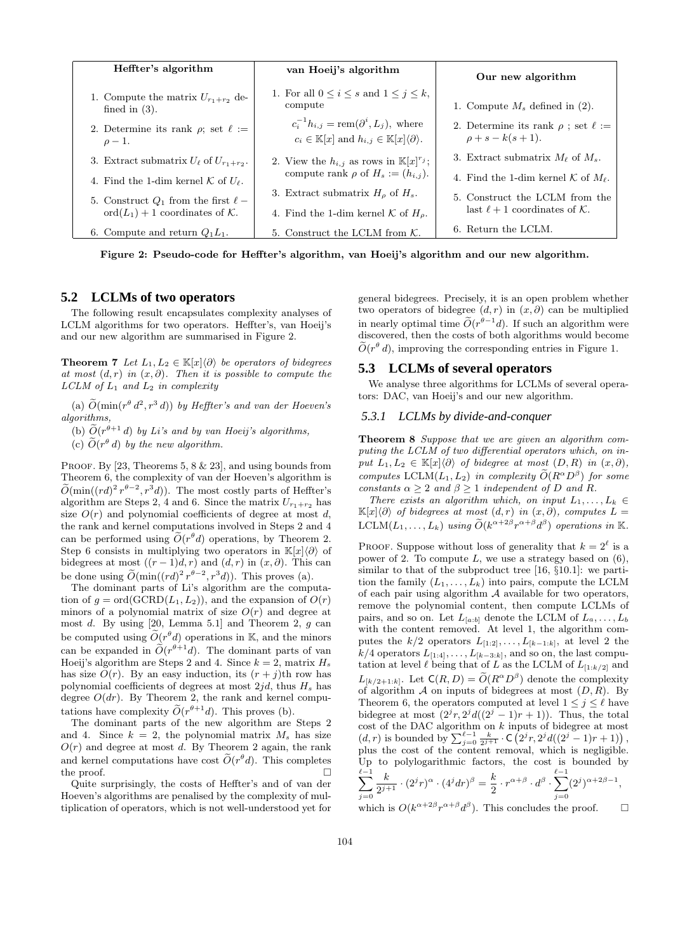<span id="page-5-1"></span>

| Heffter's algorithm                                         | van Hoeij's algorithm                                                                                                                      | Our new algorithm                                                      |  |
|-------------------------------------------------------------|--------------------------------------------------------------------------------------------------------------------------------------------|------------------------------------------------------------------------|--|
| 1. Compute the matrix $U_{r_1+r_2}$ de-<br>fined in $(3)$ . | 1. For all $0 \leq i \leq s$ and $1 \leq j \leq k$ ,<br>compute                                                                            | 1. Compute $M_s$ defined in (2).                                       |  |
| 2. Determine its rank $\rho$ ; set $\ell :=$<br>$\rho-1$ .  | $c_i^{-1}h_{i,j} = \text{rem}(\partial^i, L_i)$ , where<br>$c_i \in \mathbb{K}[x]$ and $h_{i,j} \in \mathbb{K}[x]\langle\partial\rangle$ . | 2. Determine its rank $\rho$ ; set $\ell :=$<br>$\rho + s - k(s + 1).$ |  |
| 3. Extract submatrix $U_{\ell}$ of $U_{r_1+r_2}$ .          | 2. View the $h_{i,j}$ as rows in $\mathbb{K}[x]^{r_j}$ ;                                                                                   | 3. Extract submatrix $M_{\ell}$ of $M_{s}$ .                           |  |
| 4. Find the 1-dim kernel $K$ of $U_{\ell}$ .                | compute rank $\rho$ of $H_s := (h_{i,j}).$                                                                                                 | 4. Find the 1-dim kernel $K$ of $M_{\ell}$ .                           |  |
| 5. Construct $Q_1$ from the first $\ell$ –                  | 3. Extract submatrix $Ho$ of $Hs$ .                                                                                                        | 5. Construct the LCLM from the<br>last $\ell + 1$ coordinates of K.    |  |
| $\mathrm{ord}(L_1)+1$ coordinates of K.                     | 4. Find the 1-dim kernel $K$ of $Ho$ .                                                                                                     |                                                                        |  |
| 6. Compute and return $Q_1L_1$ .                            | 5. Construct the LCLM from $K$ .                                                                                                           | 6. Return the LCLM.                                                    |  |

<span id="page-5-3"></span><span id="page-5-2"></span><span id="page-5-0"></span>Figure 2: Pseudo-code for Heffter's algorithm, van Hoeij's algorithm and our new algorithm.

## **5.2 LCLMs of two operators**

The following result encapsulates complexity analyses of LCLM algorithms for two operators. Heffter's, van Hoeij's and our new algorithm are summarised in Figure [2.](#page-5-0)

<span id="page-5-8"></span>**Theorem 7** Let  $L_1, L_2 \in \mathbb{K}[x]\langle \partial \rangle$  be operators of bidegrees at most  $(d, r)$  in  $(x, \partial)$ . Then it is possible to compute the  $LCLM$  of  $L_1$  and  $L_2$  in complexity

(a)  $\widetilde{O}(\min(r^{\theta} d^2, r^3 d))$  by Heffter's and van der Hoeven's algorithms,

(b)  $\widetilde{Q}(r^{q+1} d)$  by Li's and by van Hoeij's algorithms,

(c)  $\widetilde{O}(r^{\theta} d)$  by the new algorithm.

PROOF. By [\[23,](#page-7-16) Theorems 5, 8 & 23], and using bounds from Theorem [6,](#page-4-1) the complexity of van der Hoeven's algorithm is  $\widetilde{O}(\min((rd)^2 r^{\theta-2}, r^3 d)).$  The most costly parts of Heffter's algorithm are Steps [2,](#page-5-1) [4](#page-5-2) and [6.](#page-5-3) Since the matrix  $U_{r_1+r_2}$  has size  $O(r)$  and polynomial coefficients of degree at most d, the rank and kernel computations involved in Steps [2](#page-5-1) and [4](#page-5-2) can be performed using  $\tilde{O}(r^{\theta}d)$  operations, by Theorem [2.](#page-2-5) Step [6](#page-5-3) consists in multiplying two operators in K[x] $\langle \partial \rangle$  of bidegrees at most  $((r-1)d, r)$  and  $(d, r)$  in  $(x, \partial)$ . This can be done using  $\widetilde{O}(\min((rd)^2 r^{\theta-2}, r^3 d))$ . This proves (a).

The dominant parts of Li's algorithm are the computation of  $g = \text{ord}(\text{GCRD}(L_1, L_2))$ , and the expansion of  $O(r)$ minors of a polynomial matrix of size  $O(r)$  and degree at most  $d$ . By using [\[20,](#page-7-21) Lemma 5.1] and Theorem [2,](#page-2-5)  $g$  can be computed using  $\widetilde{O}(r^{\theta}d)$  operations in K, and the minors can be expanded in  $\widetilde{O}(r^{\theta+1}d)$ . The dominant parts of van Hoeij's algorithm are Steps [2](#page-5-4) and [4.](#page-5-5) Since  $k = 2$ , matrix  $H_s$ has size  $\tilde{O}(r)$ . By an easy induction, its  $(r + j)$ th row has polynomial coefficients of degrees at most  $2id$ , thus  $H_s$  has degree  $O(dr)$ . By Theorem [2,](#page-2-5) the rank and kernel computations have complexity  $\tilde{O}(r^{\theta+1}d)$ . This proves (b).

The dominant parts of the new algorithm are Steps [2](#page-5-6) and [4.](#page-5-7) Since  $k = 2$ , the polynomial matrix  $M_s$  has size  $O(r)$  and degree at most d. By Theorem [2](#page-2-5) again, the rank and kernel computations have cost  $\widetilde{O}(r^{\theta}d)$ . This completes the proof.

Quite surprisingly, the costs of Heffter's and of van der Hoeven's algorithms are penalised by the complexity of multiplication of operators, which is not well-understood yet for <span id="page-5-7"></span><span id="page-5-6"></span><span id="page-5-5"></span><span id="page-5-4"></span>general bidegrees. Precisely, it is an open problem whether two operators of bidegree  $(d, r)$  in  $(x, \partial)$  can be multiplied in nearly optimal time  $\widetilde{O}(r^{\theta-1}d)$ . If such an algorithm were discovered, then the costs of both algorithms would become  $\widetilde{O}(r^{\theta} d)$ , improving the corresponding entries in Figure [1.](#page-1-0)

## **5.3 LCLMs of several operators**

We analyse three algorithms for LCLMs of several operators: DAC, van Hoeij's and our new algorithm.

# <span id="page-5-9"></span>*5.3.1 LCLMs by divide-and-conquer*

Theorem 8 Suppose that we are given an algorithm computing the LCLM of two differential operators which, on input  $L_1, L_2 \in \mathbb{K}[x]\langle \partial \rangle$  of bidegree at most  $(D, R)$  in  $(x, \partial)$ , computes LCLM $(L_1, L_2)$  in complexity  $\widetilde{O}(R^{\alpha}D^{\beta})$  for some constants  $\alpha \geq 2$  and  $\beta \geq 1$  independent of D and R.

There exists an algorithm which, on input  $L_1, \ldots, L_k \in$  $\mathbb{K}[x]\langle\partial\rangle$  of bidegrees at most  $(d,r)$  in  $(x,\partial)$ , computes  $L =$ LCLM $(L_1, \ldots, L_k)$  using  $\widetilde{O}(k^{\alpha+2\beta} r^{\alpha+\beta} d^{\beta})$  operations in K.

PROOF. Suppose without loss of generality that  $k = 2^{\ell}$  is a power of 2. To compute  $L$ , we use a strategy based on  $(6)$ , similar to that of the subproduct tree [\[16,](#page-7-31) §10.1]: we partition the family  $(L_1, \ldots, L_k)$  into pairs, compute the LCLM of each pair using algorithm A available for two operators, remove the polynomial content, then compute LCLMs of pairs, and so on. Let  $L_{[a:b]}$  denote the LCLM of  $L_a, \ldots, L_b$ with the content removed. At level 1, the algorithm computes the  $k/2$  operators  $L_{[1:2]}, \ldots, L_{[k-1:k]}$ , at level 2 the  $k/4$  operators  $L_{[1:4]}, \ldots, L_{[k-3:k]}$ , and so on, the last computation at level  $\ell$  being that of L as the LCLM of  $L_{[1:k/2]}$  and  $L_{[k/2+1:k]}$ . Let  $\mathsf{C}(R,D) = \widetilde{O}(R^{\alpha}D^{\beta})$  denote the complexity of algorithm  $A$  on inputs of bidegrees at most  $(D, R)$ . By Theorem [6,](#page-4-1) the operators computed at level  $1 \leq j \leq \ell$  have bidegree at most  $(2^{j}r, 2^{j}d((2^{j}-1)r+1))$ . Thus, the total cost of the DAC algorithm on  $k$  inputs of bidegree at most  $(d, r)$  is bounded by  $\sum_{j=0}^{\ell-1} \frac{k}{2^{j+1}} \cdot C\left(2^j r, 2^j d((2^j-1)r+1)\right)$ , plus the cost of the content removal, which is negligible. Up to polylogarithmic factors, the cost is bounded by  $\stackrel{\ell-1}{\relbrace{\smile}}$ k j α k  $\alpha + \beta$ β  $\stackrel{\ell-1}{\nabla}$ j  $\alpha+2\beta-1$ 

$$
\sum_{j=0} \frac{k}{2^{j+1}} \cdot (2^j r)^\alpha \cdot (4^j dr)^\beta = \frac{k}{2} \cdot r^{\alpha+\beta} \cdot d^\beta \cdot \sum_{j=0} (2^j)^{\alpha+2\beta-1},
$$

which is  $O(k^{\alpha+2\beta}r^{\alpha+\beta}d^{\beta})$ . This concludes the proof.  $\square$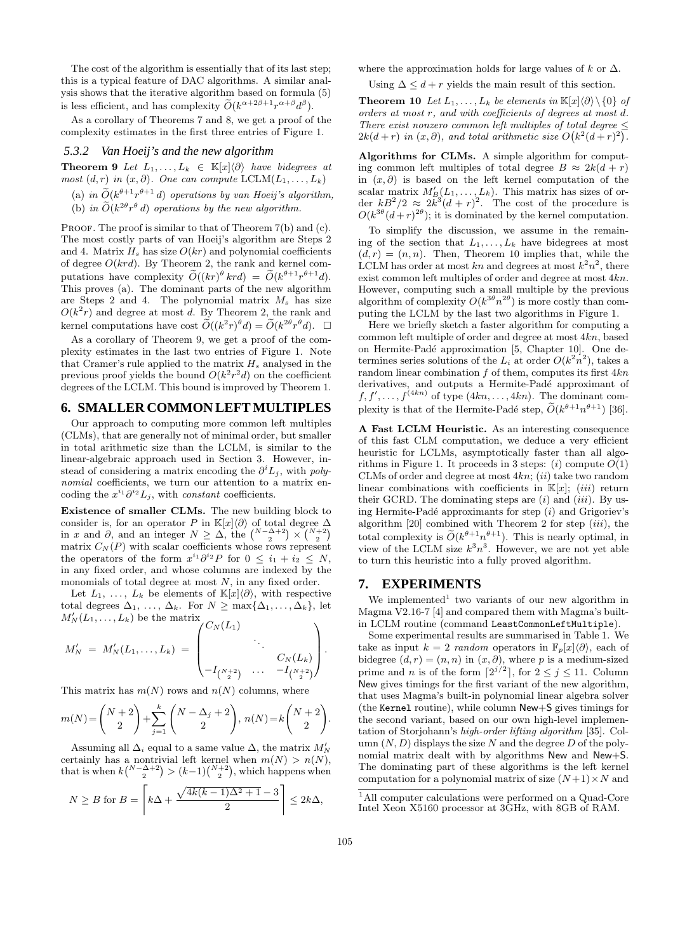The cost of the algorithm is essentially that of its last step; this is a typical feature of DAC algorithms. A similar analysis shows that the iterative algorithm based on formula [\(5\)](#page-4-3) is less efficient, and has complexity  $\widetilde{O}(k^{\alpha+2\beta+1}r^{\alpha+\beta}d^{\beta}).$ 

As a corollary of Theorems [7](#page-5-8) and [8,](#page-5-9) we get a proof of the complexity estimates in the first three entries of Figure [1.](#page-1-0)

#### <span id="page-6-0"></span>*5.3.2 Van Hoeij's and the new algorithm*

Theorem 9 Let  $L_1, \ldots, L_k \in \mathbb{K}[x]\langle \partial \rangle$  have bidegrees at most  $(d, r)$  in  $(x, \partial)$ . One can compute LCLM $(L_1, \ldots, L_k)$ 

- (a) in  $\widetilde{O}(k^{\theta+1}r^{\theta+1} d)$  operations by van Hoeij's algorithm,
- (b) in  $\widetilde{O}(k^{2\theta}r^{\theta} d)$  operations by the new algorithm.

PROOF. The proof is similar to that of Theorem [7\(](#page-5-8)b) and (c). The most costly parts of van Hoeij's algorithm are Steps [2](#page-5-4) and [4.](#page-5-5) Matrix  $H_s$  has size  $O(kr)$  and polynomial coefficients of degree  $O(krd)$ . By Theorem [2,](#page-2-5) the rank and kernel computations have complexity  $\widetilde{O}((kr)^{\theta} krd) = \widetilde{O}(k^{\theta+1}r^{\theta+1}d).$ This proves (a). The dominant parts of the new algorithm are Steps [2](#page-5-6) and [4.](#page-5-7) The polynomial matrix  $M_s$  has size  $O(k<sup>2</sup>r)$  and degree at most d. By Theorem [2,](#page-2-5) the rank and kernel computations have cost  $\widetilde{O}((k^2 r)^{\theta} d) = \widetilde{O}(k^{2\theta} r^{\theta} d)$ .  $\Box$ 

As a corollary of Theorem [9,](#page-6-0) we get a proof of the complexity estimates in the last two entries of Figure [1.](#page-1-0) Note that Cramer's rule applied to the matrix  $H_s$  analysed in the previous proof yields the bound  $O(k^2r^2d)$  on the coefficient degrees of the LCLM. This bound is improved by Theorem [1.](#page-1-1)

## **6. SMALLER COMMON LEFT MULTIPLES**

Our approach to computing more common left multiples (CLMs), that are generally not of minimal order, but smaller in total arithmetic size than the LCLM, is similar to the linear-algebraic approach used in Section [3.](#page-2-4) However, instead of considering a matrix encoding the  $\partial^i L_j$ , with polynomial coefficients, we turn our attention to a matrix encoding the  $x^{i_1} \partial^{i_2} L_j$ , with *constant* coefficients.

Existence of smaller CLMs. The new building block to consider is, for an operator P in K[x] $\langle \partial \rangle$  of total degree  $\Delta$ in x and  $\partial$ , and an integer  $N \geq \Delta$ , the  $\binom{N-\Delta+2}{2} \times \binom{N+2}{2}$ matrix  $C_N(P)$  with scalar coefficients whose rows represent the operators of the form  $x^{i_1} \partial^{i_2} P$  for  $0 \leq i_1 + i_2 \leq N$ , in any fixed order, and whose columns are indexed by the monomials of total degree at most  $N$ , in any fixed order.

Let  $L_1, \ldots, L_k$  be elements of K[x] $\langle \partial \rangle$ , with respective total degrees  $\Delta_1, \ldots, \Delta_k$ . For  $N \ge \max\{\Delta_1, \ldots, \Delta_k\}$ , let  $M'_{N}(L_1,\ldots,L_k)$  be the matrix  $\binom{C_N(L_1)}{k}$ 

$$
M'_{N} = M'_{N}(L_{1},...,L_{k}) = \begin{pmatrix} C_{N}(L_{1}) & & & \\ & \ddots & & \\ & & C_{N}(L_{k}) \\ -I_{N+2} & \cdots & -I_{N+2} \\ \end{pmatrix}.
$$

This matrix has  $m(N)$  rows and  $n(N)$  columns, where

$$
m(N) = {N+2 \choose 2} + \sum_{j=1}^{k} {N - \Delta_j + 2 \choose 2}, n(N) = k {N+2 \choose 2}
$$

Assuming all  $\Delta_i$  equal to a same value  $\Delta$ , the matrix  $M'_N$ certainly has a nontrivial left kernel when  $m(N) > n(N)$ , that is when  $k\binom{N-\Delta+2}{2}$  >  $(k-1)\binom{N+2}{2}$ , which happens when

$$
N \ge B \text{ for } B = \left\lceil k\Delta + \frac{\sqrt{4k(k-1)\Delta^2 + 1} - 3}{2} \right\rceil \le 2k\Delta,
$$

<span id="page-6-1"></span>where the approximation holds for large values of  $k$  or  $\Delta$ .

Using  $\Delta \leq d + r$  yields the main result of this section.

Theorem 10 Let  $L_1, \ldots, L_k$  be elements in  $\mathbb{K}[x]\langle\partial\rangle\setminus\{0\}$  of orders at most r, and with coefficients of degrees at most d. There exist nonzero common left multiples of total degree  $\leq$  $2k(d+r)$  in  $(x, \partial)$ , and total arithmetic size  $O(k^2(d+r)^2)$ .

Algorithms for CLMs. A simple algorithm for computing common left multiples of total degree  $B \approx 2k(d+r)$ in  $(x, \partial)$  is based on the left kernel computation of the scalar matrix  $M'_{B}(L_1,\ldots,L_k)$ . This matrix has sizes of order  $kB^2/2 \approx 2k^3(d+r)^2$ . The cost of the procedure is  $O(k^{3\theta}(d+r)^{2\theta})$ ; it is dominated by the kernel computation.

To simplify the discussion, we assume in the remaining of the section that  $L_1, \ldots, L_k$  have bidegrees at most  $(d, r) = (n, n)$ . Then, Theorem [10](#page-6-1) implies that, while the LCLM has order at most kn and degrees at most  $k^2n^2$ , there exist common left multiples of order and degree at most 4kn. However, computing such a small multiple by the previous algorithm of complexity  $O(k^{3\theta}n^{2\theta})$  is more costly than computing the LCLM by the last two algorithms in Figure [1.](#page-1-0)

Here we briefly sketch a faster algorithm for computing a common left multiple of order and degree at most 4kn, based on Hermite-Padé approximation [\[5,](#page-7-14) Chapter 10]. One determines series solutions of the  $L_i$  at order  $O(k^2n^2)$ , takes a random linear combination  $f$  of them, computes its first  $4kn$ derivatives, and outputs a Hermite-Padé approximant of  $f, f', \ldots, f^{(4kn)}$  of type  $(4kn, \ldots, 4kn)$ . The dominant complexity is that of the Hermite-Padé step,  $\widetilde{O}(k^{\theta+1}n^{\theta+1})$  [\[36\]](#page-7-38).

A Fast LCLM Heuristic. As an interesting consequence of this fast CLM computation, we deduce a very efficient heuristic for LCLMs, asymptotically faster than all algo-rithms in Figure [1.](#page-1-0) It proceeds in 3 steps:  $(i)$  compute  $O(1)$ CLMs of order and degree at most  $4kn$ ;  $(ii)$  take two random linear combinations with coefficients in  $\mathbb{K}[x]$ ; *(iii)* return their GCRD. The dominating steps are  $(i)$  and  $(iii)$ . By using Hermite-Padé approximants for step  $(i)$  and Grigoriev's algorithm  $[20]$  combined with Theorem [2](#page-2-5) for step  $(iii)$ , the total complexity is  $\widetilde{O}(k^{\theta+1}n^{\theta+1})$ . This is nearly optimal, in view of the LCLM size  $k^3n^3$ . However, we are not yet able to turn this heuristic into a fully proved algorithm.

## **7. EXPERIMENTS**

We implemented<sup>[1](#page-6-2)</sup> two variants of our new algorithm in Magma V2.16-7 [\[4\]](#page-7-39) and compared them with Magma's builtin LCLM routine (command LeastCommonLeftMultiple).

Some experimental results are summarised in Table [1.](#page-7-40) We take as input  $k = 2$  *random* operators in  $\mathbb{F}_p[x]\langle\partial\rangle$ , each of bidegree  $(d, r) = (n, n)$  in  $(x, \partial)$ , where p is a medium-sized prime and *n* is of the form  $\lceil 2^{j/2} \rceil$ , for  $2 \le j \le 11$ . Column New gives timings for the first variant of the new algorithm, that uses Magma's built-in polynomial linear algebra solver (the Kernel routine), while column New+S gives timings for the second variant, based on our own high-level implementation of Storjohann's high-order lifting algorithm [\[35\]](#page-7-19). Column  $(N, D)$  displays the size N and the degree D of the polynomial matrix dealt with by algorithms New and New+S. The dominating part of these algorithms is the left kernel computation for a polynomial matrix of size  $(N+1) \times N$  and

.

<span id="page-6-2"></span><sup>1</sup>All computer calculations were performed on a Quad-Core Intel Xeon X5160 processor at 3GHz, with 8GB of RAM.